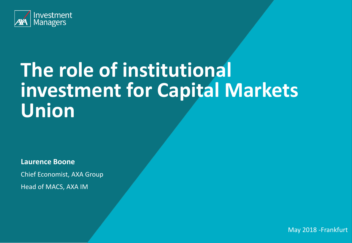

# **The role of institutional investment for Capital Markets Union**

**Laurence Boone**

Chief Economist, AXA Group

Head of MACS, AXA IM

May 2018 -Frankfurt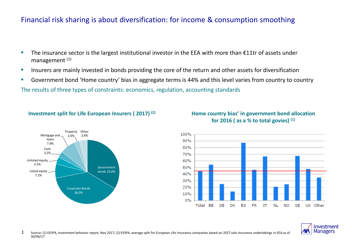### Financial risk sharing is about diversification: for income & consumption smoothing

- The insurance sector is the largest institutional investor in the EEA with more than €11tr of assets under management (1)
- Insurers are mainly invested in bonds providing the core of the return and other assets for diversification
- Government bond 'Home country' bias in aggregate terms is 44% and this level varies from country to country

The results of three types of constraints: economics, regulation, accounting standards

#### **Investment split for Life European Insurers ( 2017) (2)**

**Other** 3,9%

Corporate Bonds 38,0%

Property 2.6%

Listed equity 7.2%

Unlisted equity 3.5%

Cash 3,2%

Mortgage and loans 7.8%

> Government bonds 33,8%



#### **Home country bias' in government bond allocation for 2016 ( as a % to total govies) (1)**



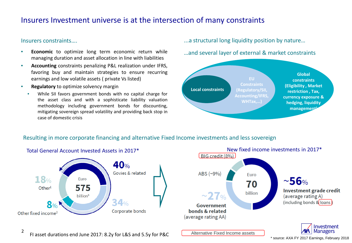# Insurers Investment universe is at the intersection of many constraints

#### Insurers constraints….

2

- **Economic** to optimize long term economic return while managing duration and asset allocation in line with liabilities
- **Accounting** constraints penalizing P&L realization under IFRS, favoring buy and maintain strategies to ensure recurring earnings and low volatile assets ( private Vs listed)
- **Regulatory** to optimize solvency margin
	- While SII favors government bonds with no capital charge for the asset class and with a sophisticate liability valuation methodology including government bonds for discounting, mitigating sovereign spread volatility and providing back stop in case of domestic crisis

#### ...a structural long liquidity position by nature…

…and several layer of external & market constraints



#### Resulting in more corporate financing and alternative Fixed Income investments and less sovereign





FI asset durations end June 2017: 8.2y for L&S and 5.5y for P&C

\* source: AXA FY 2017 Earnings, February 2018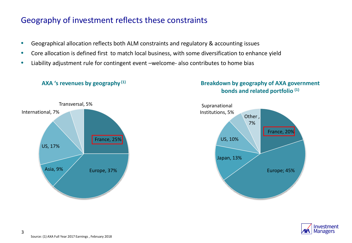# Geography of investment reflects these constraints

- Geographical allocation reflects both ALM constraints and regulatory & accounting issues
- Core allocation is defined first to match local business, with some diversification to enhance yield
- Liability adjustment rule for contingent event –welcome- also contributes to home bias

#### **AXA 's revenues by geography (1)**

Asia, 9% Europe, 37%

# Transversal, 5%

France, 25%







US, 17%

International, 7%